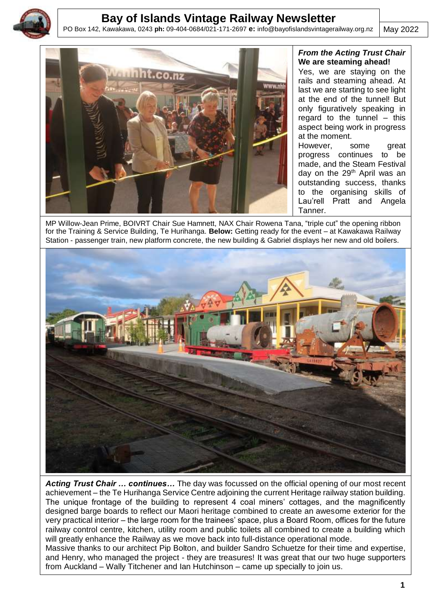

# **Bay of Islands Vintage Railway Newsletter**

PO Box 142, Kawakawa, 0243 **ph:** 09-404-0684/021-171-2697 **e:** info@bayofislandsvintagerailway.org.nz

May 2022



#### *From the Acting Trust Chair* **We are steaming ahead!**

Yes, we are staying on the rails and steaming ahead. At last we are starting to see light at the end of the tunnel! But only figuratively speaking in regard to the tunnel – this aspect being work in progress at the moment.

However, some great progress continues to be made, and the Steam Festival day on the 29<sup>th</sup> April was an outstanding success, thanks to the organising skills of Lau'rell Pratt and Angela Tanner.

 MP Willow-Jean Prime, BOIVRT Chair Sue Hamnett, NAX Chair Rowena Tana, "triple cut" the opening ribbon for the Training & Service Building, Te Hurihanga. **Below:** Getting ready for the event – at Kawakawa Railway Station - passenger train, new platform concrete, the new building & Gabriel displays her new and old boilers.



*Acting Trust Chair … continues…* The day was focussed on the official opening of our most recent achievement – the Te Hurihanga Service Centre adjoining the current Heritage railway station building. The unique frontage of the building to represent 4 coal miners' cottages, and the magnificently designed barge boards to reflect our Maori heritage combined to create an awesome exterior for the very practical interior – the large room for the trainees' space, plus a Board Room, offices for the future railway control centre, kitchen, utility room and public toilets all combined to create a building which will greatly enhance the Railway as we move back into full-distance operational mode. Massive thanks to our architect Pip Bolton, and builder Sandro Schuetze for their time and expertise, and Henry, who managed the project - they are treasures! It was great that our two huge supporters from Auckland – Wally Titchener and Ian Hutchinson – came up specially to join us.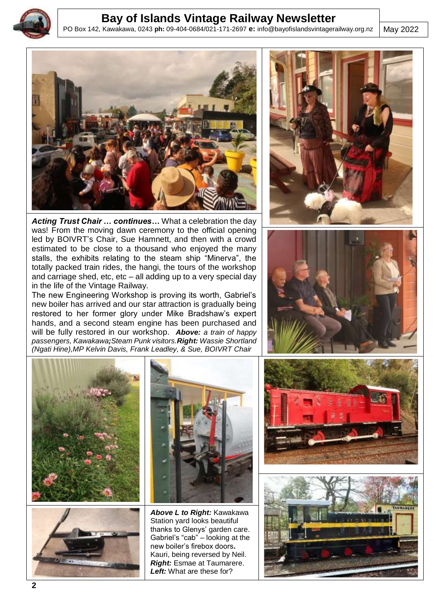

j

## **Bay of Islands Vintage Railway Newsletter**

PO Box 142, Kawakawa, 0243 **ph:** 09-404-0684/021-171-2697 **e:** info@bayofislandsvintagerailway.org.nz

May 2022



*Acting Trust Chair … continues…* What a celebration the day was! From the moving dawn ceremony to the official opening led by BOIVRT's Chair, Sue Hamnett, and then with a crowd estimated to be close to a thousand who enjoyed the many stalls, the exhibits relating to the steam ship "Minerva", the totally packed train rides, the hangi, the tours of the workshop and carriage shed, etc, etc – all adding up to a very special day in the life of the Vintage Railway.

The new Engineering Workshop is proving its worth, Gabriel's new boiler has arrived and our star attraction is gradually being restored to her former glory under Mike Bradshaw's expert hands, and a second steam engine has been purchased and will be fully restored in our workshop. *Above: a train of happy passengers, Kawakawa;Steam Punk visitors.Right: Wassie Shortland (Ngati Hine),MP Kelvin Davis, Frank Leadley, & Sue, BOIVRT Chair*











*Above L to Right:* Kawakawa Station yard looks beautiful thanks to Glenys' garden care. Gabriel's "cab" – looking at the new boiler's firebox doors**.**  Kauri, being reversed by Neil. *Right:* Esmae at Taumarere. *Left:* What are these for?



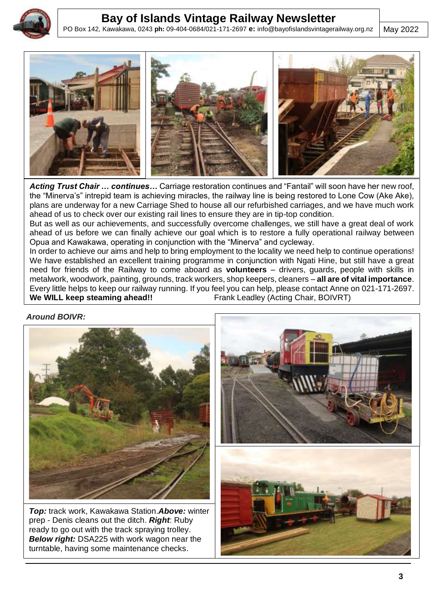

j

# **Bay of Islands Vintage Railway Newsletter**

PO Box 142, Kawakawa, 0243 **ph:** 09-404-0684/021-171-2697 **e:** info@bayofislandsvintagerailway.org.nz

May 2022



*Acting Trust Chair … continues…* Carriage restoration continues and "Fantail" will soon have her new roof, the "Minerva's" intrepid team is achieving miracles, the railway line is being restored to Lone Cow (Ake Ake), plans are underway for a new Carriage Shed to house all our refurbished carriages, and we have much work ahead of us to check over our existing rail lines to ensure they are in tip-top condition.

But as well as our achievements, and successfully overcome challenges, we still have a great deal of work ahead of us before we can finally achieve our goal which is to restore a fully operational railway between Opua and Kawakawa, operating in conjunction with the "Minerva" and cycleway.

In order to achieve our aims and help to bring employment to the locality we need help to continue operations! We have established an excellent training programme in conjunction with Ngati Hine, but still have a great need for friends of the Railway to come aboard as **volunteers** – drivers, guards, people with skills in metalwork, woodwork, painting, grounds, track workers, shop keepers, cleaners – **all are of vital importance**. Every little helps to keep our railway running. If you feel you can help, please contact Anne on 021-171-2697. **We WILL keep steaming ahead!!** Frank Leadley (Acting Chair, BOIVRT)

*Around BOIVR:*



*Top:* track work, Kawakawa Station.*Above:* winter prep - Denis cleans out the ditch. *Right*: Ruby ready to go out with the track spraying trolley. *Below right:* DSA225 with work wagon near the turntable, having some maintenance checks.